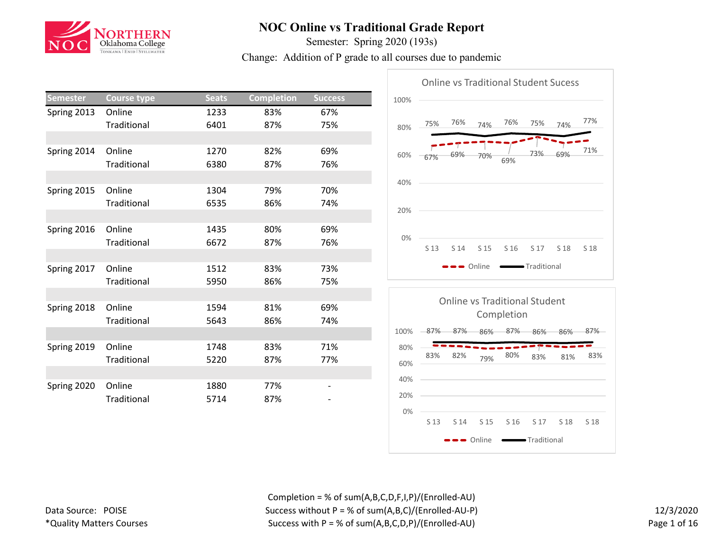

Semester: Spring 2020 (193s)

Change: Addition of P grade to all courses due to pandemic

| Semester    | <b>Course type</b> | <b>Seats</b> | <b>Completion</b> | <b>Success</b> |
|-------------|--------------------|--------------|-------------------|----------------|
| Spring 2013 | Online             | 1233         | 83%               | 67%            |
|             | Traditional        | 6401         | 87%               | 75%            |
|             |                    |              |                   |                |
| Spring 2014 | Online             | 1270         | 82%               | 69%            |
|             | Traditional        | 6380         | 87%               | 76%            |
|             |                    |              |                   |                |
| Spring 2015 | Online             | 1304         | 79%               | 70%            |
|             | Traditional        | 6535         | 86%               | 74%            |
|             |                    |              |                   |                |
| Spring 2016 | Online             | 1435         | 80%               | 69%            |
|             | Traditional        | 6672         | 87%               | 76%            |
|             |                    |              |                   |                |
| Spring 2017 | Online             | 1512         | 83%               | 73%            |
|             | Traditional        | 5950         | 86%               | 75%            |
|             |                    |              |                   |                |
| Spring 2018 | Online             | 1594         | 81%               | 69%            |
|             | Traditional        | 5643         | 86%               | 74%            |
|             |                    |              |                   |                |
| Spring 2019 | Online             | 1748         | 83%               | 71%            |
|             | Traditional        | 5220         | 87%               | 77%            |
|             |                    |              |                   |                |
| Spring 2020 | Online             | 1880         | 77%               |                |
|             | Traditional        | 5714         | 87%               |                |
|             |                    |              |                   |                |





Completion = % of sum(A,B,C,D,F,I,P)/(Enrolled-AU) Success without P = % of sum(A,B,C)/(Enrolled-AU-P) Success with  $P = % of sum(A, B, C, D, P) / (Enrolled-AU)$ 

12/3/2020 Page 1 of 16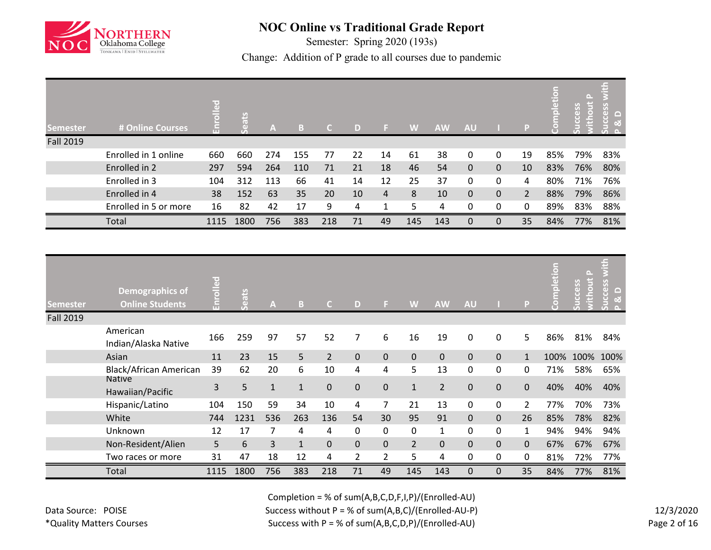

Semester: Spring 2020 (193s)

Change: Addition of P grade to all courses due to pandemic

| <b>Semester</b>  | # Online Courses      | $=$  | <b>ats</b><br>$\left( \left( \right) \right)$ | $\mathbf{A}$ | $\mathbb{R}$<br>ы | C.  | D  |    | W   | <b>AW</b> | AU           |   | P              | $\overline{a}$<br>ēΰ<br>$\bar{\mathbf{o}}$ | [≏ L<br>Ø<br>$\circ$<br>$\left( \right)$<br>š | with<br>cess<br>c<br>$\frac{1}{2}$<br>ಟ |
|------------------|-----------------------|------|-----------------------------------------------|--------------|-------------------|-----|----|----|-----|-----------|--------------|---|----------------|--------------------------------------------|-----------------------------------------------|-----------------------------------------|
| <b>Fall 2019</b> |                       |      |                                               |              |                   |     |    |    |     |           |              |   |                |                                            |                                               |                                         |
|                  | Enrolled in 1 online  | 660  | 660                                           | 274          | 155               | 77  | 22 | 14 | 61  | 38        | 0            | 0 | 19             | 85%                                        | 79%                                           | 83%                                     |
|                  | Enrolled in 2         | 297  | 594                                           | 264          | 110               | 71  | 21 | 18 | 46  | 54        | $\mathbf{0}$ | 0 | 10             | 83%                                        | 76%                                           | 80%                                     |
|                  | Enrolled in 3         | 104  | 312                                           | 113          | 66                | 41  | 14 | 12 | 25  | 37        | 0            | 0 | 4              | 80%                                        | 71%                                           | 76%                                     |
|                  | Enrolled in 4         | 38   | 152                                           | 63           | 35                | 20  | 10 | 4  | 8   | 10        | $\mathbf{0}$ | 0 | $\overline{2}$ | 88%                                        | 79%                                           | 86%                                     |
|                  | Enrolled in 5 or more | 16   | 82                                            | 42           | 17                | 9   | 4  | 1  | 5   | 4         | 0            | 0 | 0              | 89%                                        | 83%                                           | 88%                                     |
|                  | Total                 | 1115 | 1800                                          | 756          | 383               | 218 | 71 | 49 | 145 | 143       | 0            | 0 | 35             | 84%                                        | 77%                                           | 81%                                     |

| <b>Semester</b>  | <b>Demographics of</b><br><b>Online Students</b> | <u>ვ</u><br>'nΠ | Seats | A            | B            | C.             | D              | 51             | W              | <b>AW</b>      | <b>AU</b>   |              | P              | etion<br>Ē<br>ຊ | 믕<br>GD)<br>Ĕ | and in<br>မိ<br>$\Box$<br>ਾ |
|------------------|--------------------------------------------------|-----------------|-------|--------------|--------------|----------------|----------------|----------------|----------------|----------------|-------------|--------------|----------------|-----------------|---------------|-----------------------------|
| <b>Fall 2019</b> |                                                  |                 |       |              |              |                |                |                |                |                |             |              |                |                 |               |                             |
|                  | American<br>Indian/Alaska Native                 | 166             | 259   | 97           | 57           | 52             | 7              | 6              | 16             | 19             | 0           | 0            | 5              | 86%             | 81%           | 84%                         |
|                  | Asian                                            | 11              | 23    | 15           | 5            | $\overline{2}$ | $\mathbf 0$    | $\mathbf{0}$   | $\Omega$       | $\Omega$       | $\Omega$    | $\mathbf 0$  | $\mathbf{1}$   | 100%            | 100%          | 100%                        |
|                  | <b>Black/African American</b>                    | 39              | 62    | 20           | 6            | 10             | 4              | 4              | 5              | 13             | 0           | 0            | 0              | 71%             | 58%           | 65%                         |
|                  | <b>Native</b><br>Hawaiian/Pacific                | 3               | 5     | $\mathbf{1}$ | $\mathbf{1}$ | $\mathbf 0$    | 0              | $\mathbf 0$    | $\mathbf{1}$   | $\overline{2}$ | $\mathbf 0$ | $\mathbf 0$  | $\mathbf 0$    | 40%             | 40%           | 40%                         |
|                  | Hispanic/Latino                                  | 104             | 150   | 59           | 34           | 10             | 4              | 7              | 21             | 13             | 0           | 0            | $\overline{2}$ | 77%             | 70%           | 73%                         |
|                  | White                                            | 744             | 1231  | 536          | 263          | 136            | 54             | 30             | 95             | 91             | $\mathbf 0$ | $\mathbf{0}$ | 26             | 85%             | 78%           | 82%                         |
|                  | Unknown                                          | 12              | 17    |              | 4            | 4              | 0              | $\mathbf{0}$   | 0              | $\mathbf{1}$   | 0           | $\mathbf 0$  | $\mathbf{1}$   | 94%             | 94%           | 94%                         |
|                  | Non-Resident/Alien                               | 5               | 6     | 3            | $\mathbf{1}$ | $\mathbf 0$    | 0              | $\Omega$       | $\overline{2}$ | $\Omega$       | $\Omega$    | $\mathbf 0$  | $\mathbf 0$    | 67%             | 67%           | 67%                         |
|                  | Two races or more                                | 31              | 47    | 18           | 12           | 4              | $\overline{2}$ | $\overline{2}$ | 5              | 4              | 0           | 0            | 0              | 81%             | 72%           | 77%                         |
|                  | Total                                            | 1115            | 1800  | 756          | 383          | 218            | 71             | 49             | 145            | 143            | $\mathbf 0$ | $\mathbf 0$  | 35             | 84%             | 77%           | 81%                         |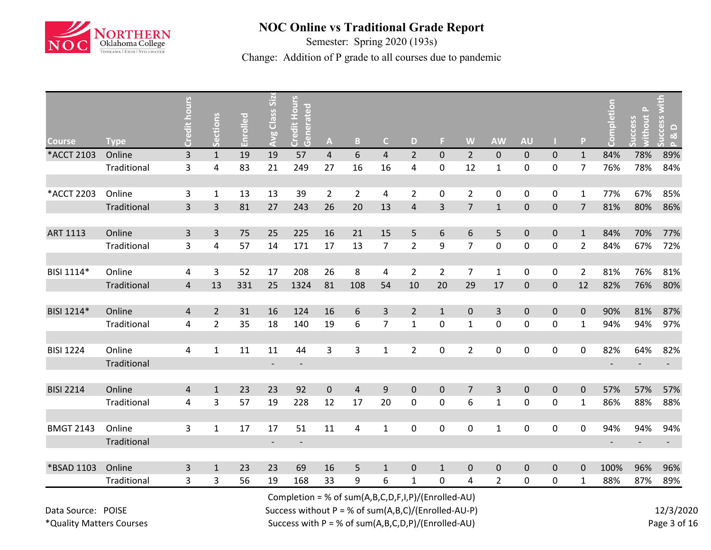

Semester: Spring 2020 (193s)

Change: Addition of P grade to all courses due to pandemic

| <b>Course</b>    | <b>Type</b> | ā<br>Credit    | Sections       | Enrolled | <b>Avg Class Siz</b>     | <b>Credit Hours</b><br>Generated | $\mathbf{A}$   | B              | $\mathsf{C}$   | D              | F.             | W              | <b>AW</b>      | <b>AU</b>   |              | P              | etion                    | $\Delta$<br>thout<br>cess | ccess<br>$\Omega$<br>ು ಸ<br>$\sim$ |
|------------------|-------------|----------------|----------------|----------|--------------------------|----------------------------------|----------------|----------------|----------------|----------------|----------------|----------------|----------------|-------------|--------------|----------------|--------------------------|---------------------------|------------------------------------|
| *ACCT 2103       | Online      | 3              | $\mathbf{1}$   | 19       | 19                       | 57                               | 4              | 6              | $\overline{4}$ | $\overline{2}$ | $\mathbf 0$    | $\overline{2}$ | $\mathbf{0}$   | $\mathbf 0$ | $\mathbf{0}$ | $\mathbf{1}$   | 84%                      | 78%                       | 89%                                |
|                  | Traditional | 3              | 4              | 83       | 21                       | 249                              | 27             | 16             | 16             | 4              | $\pmb{0}$      | 12             | 1              | $\pmb{0}$   | $\mathbf 0$  | $\overline{7}$ | 76%                      | 78%                       | 84%                                |
|                  |             |                |                |          |                          |                                  |                |                |                |                |                |                |                |             |              |                |                          |                           |                                    |
| *ACCT 2203       | Online      | 3              | $\mathbf{1}$   | 13       | 13                       | 39                               | $\overline{2}$ | $\overline{2}$ | 4              | $\overline{2}$ | $\mathbf 0$    | $\overline{2}$ | 0              | $\mathbf 0$ | $\pmb{0}$    | $\mathbf{1}$   | 77%                      | 67%                       | 85%                                |
|                  | Traditional | 3              | 3              | 81       | 27                       | 243                              | 26             | 20             | 13             | 4              | 3              | $\overline{7}$ | $\mathbf{1}$   | $\mathbf 0$ | $\mathbf 0$  | $\overline{7}$ | 81%                      | 80%                       | 86%                                |
|                  |             |                |                |          |                          |                                  |                |                |                |                |                |                |                |             |              |                |                          |                           |                                    |
| <b>ART 1113</b>  | Online      | $\overline{3}$ | 3              | 75       | 25                       | 225                              | 16             | 21             | 15             | 5              | 6              | 6              | 5              | $\pmb{0}$   | $\mathbf 0$  | $\mathbf{1}$   | 84%                      | 70%                       | 77%                                |
|                  | Traditional | 3              | 4              | 57       | 14                       | 171                              | 17             | 13             | $\overline{7}$ | $\overline{2}$ | 9              | $\overline{7}$ | 0              | $\pmb{0}$   | $\mathbf 0$  | $\overline{2}$ | 84%                      | 67%                       | 72%                                |
|                  |             |                |                |          |                          |                                  |                |                |                |                |                |                |                |             |              |                |                          |                           |                                    |
| BISI 1114*       | Online      | 4              | 3              | 52       | 17                       | 208                              | 26             | 8              | 4              | $\overline{2}$ | $\overline{2}$ | $\overline{7}$ | $\mathbf{1}$   | $\mathbf 0$ | $\mathbf 0$  | $\overline{2}$ | 81%                      | 76%                       | 81%                                |
|                  | Traditional | $\overline{4}$ | 13             | 331      | 25                       | 1324                             | 81             | 108            | 54             | 10             | 20             | 29             | 17             | $\pmb{0}$   | $\mathbf 0$  | 12             | 82%                      | 76%                       | 80%                                |
|                  |             |                |                |          |                          |                                  |                |                |                |                |                |                |                |             |              |                |                          |                           |                                    |
| BISI 1214*       | Online      | 4              | $\overline{2}$ | 31       | 16                       | 124                              | 16             | 6              | 3              | $\overline{2}$ | $\mathbf{1}$   | $\mathbf 0$    | 3              | $\mathbf 0$ | $\mathbf 0$  | $\Omega$       | 90%                      | 81%                       | 87%                                |
|                  | Traditional | 4              | $\overline{2}$ | 35       | 18                       | 140                              | 19             | 6              | $\overline{7}$ | $\mathbf{1}$   | $\pmb{0}$      | $\mathbf{1}$   | 0              | $\pmb{0}$   | $\pmb{0}$    | $\mathbf{1}$   | 94%                      | 94%                       | 97%                                |
|                  |             |                |                |          |                          |                                  |                |                |                |                |                |                |                |             |              |                |                          |                           |                                    |
| <b>BISI 1224</b> | Online      | 4              | $\mathbf{1}$   | 11       | 11                       | 44                               | 3              | 3              | $\mathbf{1}$   | $\overline{2}$ | $\mathbf 0$    | $\overline{2}$ | 0              | $\pmb{0}$   | $\pmb{0}$    | 0              | 82%                      | 64%                       | 82%                                |
|                  | Traditional |                |                |          |                          |                                  |                |                |                |                |                |                |                |             |              |                |                          |                           |                                    |
|                  |             |                |                |          |                          |                                  |                |                |                |                |                |                |                |             |              |                |                          |                           |                                    |
| <b>BISI 2214</b> | Online      | 4              | $\mathbf{1}$   | 23       | 23                       | 92                               | $\mathbf 0$    | $\overline{4}$ | 9              | $\mathbf 0$    | $\mathbf 0$    | $\overline{7}$ | $\overline{3}$ | $\pmb{0}$   | $\mathbf 0$  | 0              | 57%                      | 57%                       | 57%                                |
|                  | Traditional | 4              | 3              | 57       | 19                       | 228                              | 12             | 17             | 20             | 0              | $\pmb{0}$      | 6              | 1              | $\pmb{0}$   | 0            | $\mathbf{1}$   | 86%                      | 88%                       | 88%                                |
|                  |             |                |                |          |                          |                                  |                |                |                |                |                |                |                |             |              |                |                          |                           |                                    |
| <b>BMGT 2143</b> | Online      | 3              | $\mathbf{1}$   | 17       | 17                       | 51                               | 11             | 4              | $\mathbf{1}$   | $\mathbf 0$    | $\pmb{0}$      | 0              | $\mathbf{1}$   | $\pmb{0}$   | $\pmb{0}$    | 0              | 94%                      | 94%                       | 94%                                |
|                  | Traditional |                |                |          | $\overline{\phantom{a}}$ | $\overline{\phantom{a}}$         |                |                |                |                |                |                |                |             |              |                | $\overline{\phantom{a}}$ |                           |                                    |
|                  |             |                |                |          |                          |                                  |                |                |                |                |                |                |                |             |              |                |                          |                           |                                    |
| *BSAD 1103       | Online      | 3              | $\mathbf{1}$   | 23       | 23                       | 69                               | 16             | 5              | $1\,$          | $\mathbf 0$    | $\mathbf 1$    | $\pmb{0}$      | $\mathbf 0$    | $\pmb{0}$   | $\mathbf 0$  | 0              | 100%                     | 96%                       | 96%                                |
|                  | Traditional | 3              | 3              | 56       | 19                       | 168                              | 33             | 9              | 6              | 1              | 0              | 4              | $\overline{2}$ | $\pmb{0}$   | 0            | 1              | 88%                      | 87%                       | 89%                                |

Completion = % of sum(A,B,C,D,F,I,P)/(Enrolled-AU)

Success without P = % of sum(A,B,C)/(Enrolled-AU-P) Success with P = % of sum(A,B,C,D,P)/(Enrolled-AU)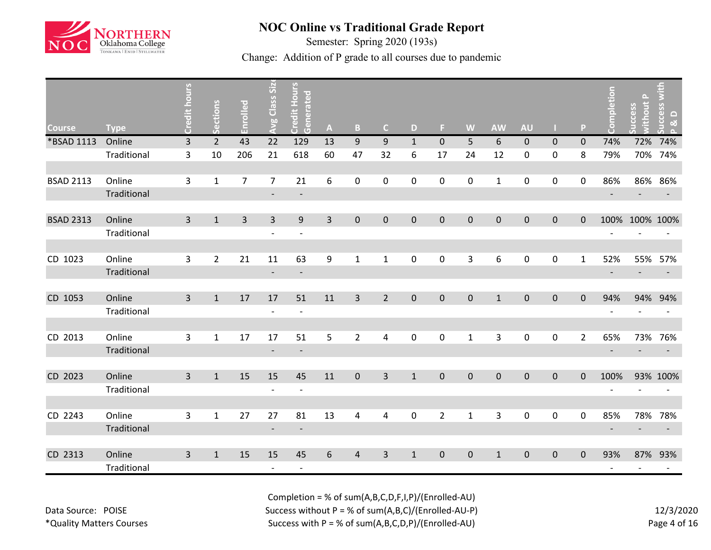

Semester: Spring 2020 (193s)

Change: Addition of P grade to all courses due to pandemic

| <b>Course</b>    | <b>Type</b> | <b>Credit hours</b> | Sections       | Enrolled       | Class Size<br>Avg        | <b>Credit Hours</b><br>Generated | $\mathbf{A}$   | B              | C.                      | D            | F.             | W            | <b>AW</b>    | <b>AU</b>    |              | P.             | Completion               | $\Delta$<br>thout<br>cess | ccess with<br>$\Omega$<br><u>ನ</u> |
|------------------|-------------|---------------------|----------------|----------------|--------------------------|----------------------------------|----------------|----------------|-------------------------|--------------|----------------|--------------|--------------|--------------|--------------|----------------|--------------------------|---------------------------|------------------------------------|
| *BSAD 1113       | Online      | 3                   | $\overline{2}$ | 43             | 22                       | 129                              | 13             | $9\,$          | 9                       | $\mathbf{1}$ | $\mathbf 0$    | 5            | 6            | $\mathbf 0$  | $\mathbf 0$  | $\mathbf{0}$   | 74%                      | 72%                       | 74%                                |
|                  | Traditional | 3                   | 10             | 206            | 21                       | 618                              | 60             | 47             | 32                      | 6            | 17             | 24           | 12           | $\pmb{0}$    | 0            | 8              | 79%                      | 70%                       | 74%                                |
|                  |             |                     |                |                |                          |                                  |                |                |                         |              |                |              |              |              |              |                |                          |                           |                                    |
| <b>BSAD 2113</b> | Online      | 3                   | $\mathbf{1}$   | $\overline{7}$ | $\overline{7}$           | 21                               | 6              | 0              | 0                       | $\mathbf 0$  | $\pmb{0}$      | 0            | 1            | $\mathbf 0$  | 0            | 0              | 86%                      |                           | 86% 86%                            |
|                  | Traditional |                     |                |                | $\overline{\phantom{a}}$ | $\overline{\phantom{a}}$         |                |                |                         |              |                |              |              |              |              |                | $\overline{\phantom{a}}$ |                           |                                    |
|                  |             |                     |                |                |                          |                                  |                |                |                         |              |                |              |              |              |              |                |                          |                           |                                    |
| <b>BSAD 2313</b> | Online      | $\overline{3}$      | $\mathbf{1}$   | $\overline{3}$ | $\overline{3}$           | 9                                | $\overline{3}$ | $\mathbf{0}$   | $\overline{0}$          | $\mathbf{0}$ | $\mathbf 0$    | $\mathbf{0}$ | $\mathbf{0}$ | $\mathbf{0}$ | $\mathbf{0}$ | $\Omega$       | 100%                     | 100% 100%                 |                                    |
|                  | Traditional |                     |                |                |                          |                                  |                |                |                         |              |                |              |              |              |              |                |                          |                           |                                    |
|                  |             |                     |                |                |                          |                                  |                |                |                         |              |                |              |              |              |              |                |                          |                           |                                    |
| CD 1023          | Online      | 3                   | $\overline{2}$ | 21             | 11                       | 63                               | 9              | $\mathbf 1$    | $\mathbf{1}$            | $\mathbf 0$  | $\pmb{0}$      | 3            | 6            | $\pmb{0}$    | $\pmb{0}$    | $\mathbf{1}$   | 52%                      | 55%                       | 57%                                |
|                  | Traditional |                     |                |                | $\overline{\phantom{a}}$ | $\overline{\phantom{a}}$         |                |                |                         |              |                |              |              |              |              |                | $\overline{\phantom{a}}$ |                           |                                    |
|                  |             |                     |                |                |                          |                                  |                |                |                         |              |                |              |              |              |              |                |                          |                           |                                    |
| CD 1053          | Online      | $\overline{3}$      | $\mathbf{1}$   | 17             | 17                       | 51                               | 11             | $\overline{3}$ | $2^{\circ}$             | $\mathbf{0}$ | $\mathbf 0$    | $\pmb{0}$    | $\mathbf{1}$ | $\mathbf 0$  | $\mathbf{0}$ | $\mathbf{0}$   | 94%                      |                           | 94% 94%                            |
|                  | Traditional |                     |                |                | $\overline{\phantom{a}}$ | $\overline{\phantom{a}}$         |                |                |                         |              |                |              |              |              |              |                | $\overline{\phantom{a}}$ |                           |                                    |
|                  |             |                     |                |                |                          |                                  |                |                |                         |              |                |              |              |              |              |                |                          |                           |                                    |
| CD 2013          | Online      | 3                   | $\mathbf{1}$   | 17             | 17                       | 51                               | 5              | $\overline{2}$ | 4                       | $\mathbf{0}$ | $\mathbf 0$    | $\mathbf{1}$ | 3            | $\mathbf 0$  | 0            | $\overline{2}$ | 65%                      |                           | 73% 76%                            |
|                  | Traditional |                     |                |                | $\overline{\phantom{a}}$ | $\overline{\phantom{a}}$         |                |                |                         |              |                |              |              |              |              |                | $\overline{\phantom{a}}$ |                           |                                    |
|                  |             |                     |                |                |                          |                                  |                |                |                         |              |                |              |              |              |              |                |                          |                           |                                    |
| CD 2023          | Online      | $\overline{3}$      | $\mathbf{1}$   | 15             | 15                       | 45                               | 11             | $\mathbf 0$    | $\overline{3}$          | $\mathbf{1}$ | $\mathbf 0$    | $\mathbf 0$  | $\mathbf 0$  | $\mathbf 0$  | $\mathbf 0$  | $\mathbf{0}$   | 100%                     |                           | 93% 100%                           |
|                  | Traditional |                     |                |                | $\qquad \qquad$          | $\overline{\phantom{a}}$         |                |                |                         |              |                |              |              |              |              |                |                          |                           |                                    |
|                  |             |                     |                |                |                          |                                  |                |                |                         |              |                |              |              |              |              |                |                          |                           |                                    |
| CD 2243          | Online      | 3                   | $\mathbf{1}$   | 27             | 27                       | 81                               | 13             | 4              | $\overline{\mathbf{4}}$ | $\mathbf 0$  | $\overline{2}$ | $\mathbf{1}$ | 3            | $\pmb{0}$    | $\mathbf 0$  | 0              | 85%                      | 78%                       | 78%                                |
|                  | Traditional |                     |                |                | $\overline{\phantom{a}}$ | $\overline{\phantom{a}}$         |                |                |                         |              |                |              |              |              |              |                | $\overline{\phantom{a}}$ |                           |                                    |
|                  |             |                     |                |                |                          |                                  |                |                |                         |              |                |              |              |              |              |                |                          |                           |                                    |
| CD 2313          | Online      | 3                   | $\mathbf{1}$   | 15             | 15                       | 45                               | 6              | $\overline{4}$ | $\overline{3}$          | $\mathbf{1}$ | $\mathbf 0$    | $\mathbf{0}$ | $\mathbf{1}$ | $\mathbf 0$  | $\mathbf 0$  | $\Omega$       | 93%                      |                           | 87% 93%                            |
|                  | Traditional |                     |                |                | $\overline{\phantom{a}}$ | $\overline{\phantom{a}}$         |                |                |                         |              |                |              |              |              |              |                | $\overline{\phantom{a}}$ | $\overline{\phantom{a}}$  |                                    |

Data Source: POISE \*Quality Matters Courses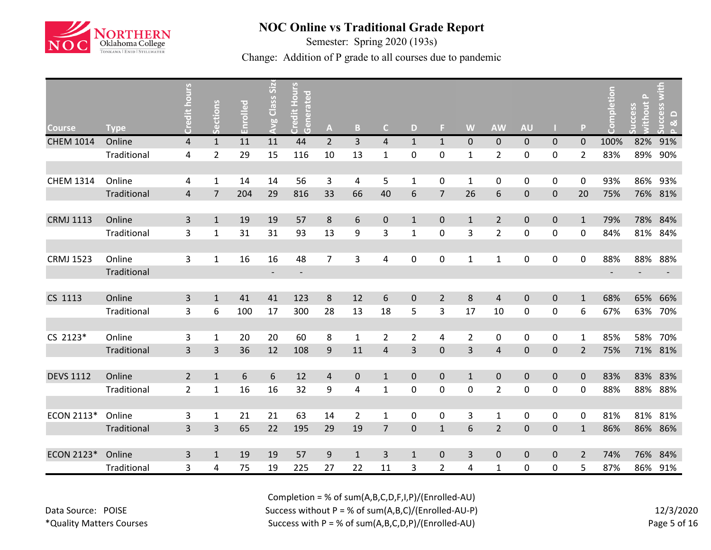

Semester: Spring 2020 (193s)

Change: Addition of P grade to all courses due to pandemic

|                  |             | Credit hours            |                |          | Avg Class Siz | Credit Hours<br>Generated |                |                |                |                |                |                |                |                  |                     |                | Completion               | $\Delta$<br>thout | with                                                   |
|------------------|-------------|-------------------------|----------------|----------|---------------|---------------------------|----------------|----------------|----------------|----------------|----------------|----------------|----------------|------------------|---------------------|----------------|--------------------------|-------------------|--------------------------------------------------------|
| <b>Course</b>    | <b>Type</b> |                         | Sections       | Enrolled |               |                           | A              | $\mathbf{B}$   | $\mathsf{C}$   | D              | Е              | W              | <b>AW</b>      | <b>AU</b>        |                     | P              |                          | ccess             | <b>CCeSS</b><br>$\Box$<br><u>ನ</u><br>$\triangleright$ |
| <b>CHEM 1014</b> | Online      | $\overline{\mathbf{4}}$ | $\mathbf{1}$   | 11       | 11            | 44                        | $\overline{2}$ | $\overline{3}$ | 4              | $\mathbf{1}$   | $\mathbf{1}$   | $\pmb{0}$      | $\mathbf 0$    | $\mathbf 0$      | $\pmb{0}$           | $\mathbf 0$    | 100%                     | 82%               | 91%                                                    |
|                  | Traditional | 4                       | $\overline{2}$ | 29       | 15            | 116                       | 10             | 13             | $\mathbf{1}$   | 0              | $\pmb{0}$      | $\mathbf{1}$   | $\overline{2}$ | $\mathbf 0$      | 0                   | $\overline{2}$ | 83%                      | 89%               | 90%                                                    |
|                  |             |                         |                |          |               |                           |                |                |                |                |                |                |                |                  |                     |                |                          |                   |                                                        |
| <b>CHEM 1314</b> | Online      | 4                       | $\mathbf{1}$   | 14       | 14            | 56                        | 3              | 4              | 5              | 1              | 0              | $\mathbf{1}$   | 0              | $\mathbf 0$      | 0                   | 0              | 93%                      | 86%               | 93%                                                    |
|                  | Traditional | 4                       | $\overline{7}$ | 204      | 29            | 816                       | 33             | 66             | 40             | 6              | $\overline{7}$ | 26             | 6              | $\mathbf 0$      | $\pmb{0}$           | 20             | 75%                      | 76%               | 81%                                                    |
|                  |             |                         |                |          |               |                           |                |                |                |                |                |                |                |                  |                     |                |                          |                   |                                                        |
| <b>CRMJ 1113</b> | Online      | $\overline{3}$          | $\mathbf{1}$   | 19       | 19            | 57                        | $\,8\,$        | $\sqrt{6}$     | $\pmb{0}$      | $\mathbf{1}$   | $\pmb{0}$      | $\mathbf{1}$   | $\overline{2}$ | $\pmb{0}$        | $\pmb{0}$           | $\mathbf{1}$   | 79%                      | 78%               | 84%                                                    |
|                  | Traditional | 3                       | $\mathbf 1$    | 31       | 31            | 93                        | 13             | 9              | 3              | $\mathbf{1}$   | 0              | 3              | $\overline{2}$ | $\mathbf 0$      | 0                   | 0              | 84%                      |                   | 81% 84%                                                |
|                  |             |                         |                |          |               |                           |                |                |                |                |                |                |                |                  |                     |                |                          |                   |                                                        |
| <b>CRMJ 1523</b> | Online      | 3                       | $\mathbf 1$    | 16       | 16            | 48                        | $\overline{7}$ | 3              | 4              | 0              | 0              | $\mathbf{1}$   | $\mathbf{1}$   | $\pmb{0}$        | 0                   | 0              | 88%                      | 88%               | 88%                                                    |
|                  | Traditional |                         |                |          |               | $\qquad \qquad -$         |                |                |                |                |                |                |                |                  |                     |                | $\overline{\phantom{a}}$ |                   |                                                        |
|                  |             |                         |                |          |               |                           |                |                |                |                |                |                |                |                  |                     |                |                          |                   |                                                        |
| CS 1113          | Online      | 3                       | $\mathbf{1}$   | 41       | 41            | 123                       | 8              | 12             | 6              | $\mathbf 0$    | $\overline{2}$ | 8              | 4              | $\mathbf 0$      | $\pmb{0}$           | $\mathbf{1}$   | 68%                      | 65%               | 66%                                                    |
|                  | Traditional | 3                       | 6              | 100      | 17            | 300                       | 28             | 13             | 18             | 5              | 3              | 17             | 10             | $\pmb{0}$        | 0                   | 6              | 67%                      | 63%               | 70%                                                    |
|                  |             |                         |                |          |               |                           |                |                |                |                |                |                |                |                  |                     |                |                          |                   |                                                        |
| CS 2123*         | Online      | 3                       | $\mathbf{1}$   | 20       | 20            | 60                        | 8              | $\mathbf{1}$   | $\overline{2}$ | $\overline{2}$ | 4              | $\overline{2}$ | $\mathbf 0$    | $\mathbf 0$      | $\pmb{0}$           | $\mathbf{1}$   | 85%                      | 58%               | 70%                                                    |
|                  | Traditional | $\overline{3}$          | 3              | 36       | 12            | 108                       | $9\,$          | 11             | 4              | 3              | $\pmb{0}$      | 3              | $\overline{4}$ | $\pmb{0}$        | $\pmb{0}$           | $\overline{2}$ | 75%                      |                   | 71% 81%                                                |
|                  |             |                         |                |          |               |                           |                |                |                |                |                |                |                |                  |                     |                |                          |                   |                                                        |
| <b>DEVS 1112</b> | Online      | $2^{\circ}$             | $\mathbf{1}$   | 6        | $6\,$         | 12                        | 4              | $\pmb{0}$      | $\mathbf{1}$   | $\mathbf 0$    | $\pmb{0}$      | $\mathbf{1}$   | $\mathbf 0$    | $\pmb{0}$        | $\mathsf{O}\xspace$ | $\mathbf 0$    | 83%                      | 83%               | 83%                                                    |
|                  | Traditional | $\overline{2}$          | $\mathbf{1}$   | 16       | 16            | 32                        | 9              | $\overline{4}$ | $\mathbf{1}$   | $\mathbf 0$    | 0              | 0              | $\overline{2}$ | $\mathbf 0$      | 0                   | 0              | 88%                      | 88%               | 88%                                                    |
|                  |             |                         |                |          |               |                           |                |                |                |                |                |                |                |                  |                     |                |                          |                   |                                                        |
| ECON 2113*       | Online      | 3                       | $\mathbf{1}$   | 21       | 21            | 63                        | 14             | $\overline{2}$ | $\mathbf{1}$   | 0              | 0              | 3              | $\mathbf{1}$   | $\mathbf 0$      | 0                   | 0              | 81%                      | 81%               | 81%                                                    |
|                  | Traditional | $\overline{3}$          | 3              | 65       | 22            | 195                       | 29             | 19             | $\overline{7}$ | $\mathbf 0$    | $\mathbf{1}$   | 6              | $\overline{2}$ | $\mathbf 0$      | $\pmb{0}$           | $\mathbf{1}$   | 86%                      | 86%               | 86%                                                    |
|                  |             |                         |                |          |               |                           |                |                |                |                |                |                |                |                  |                     |                |                          |                   |                                                        |
| ECON 2123*       | Online      | 3                       | $\mathbf{1}$   | 19       | 19            | 57                        | 9              | $\mathbf{1}$   | 3              | $\mathbf{1}$   | $\mathbf 0$    | 3              | $\Omega$       | $\mathbf 0$      | $\pmb{0}$           | 2              | 74%                      | 76%               | 84%                                                    |
|                  | Traditional | 3                       | 4              | 75       | 19            | 225                       | 27             | 22             | 11             | 3              | $\overline{2}$ | 4              | 1              | $\boldsymbol{0}$ | 0                   | 5              | 87%                      | 86%               | 91%                                                    |

Data Source: POISE \*Quality Matters Courses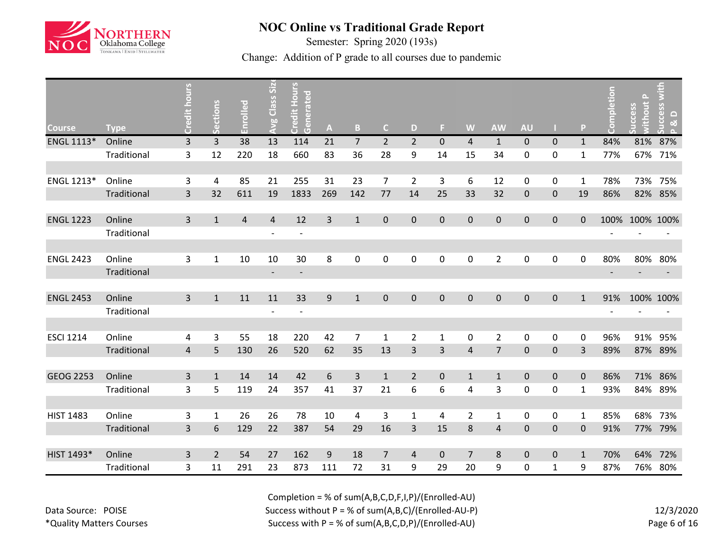

Semester: Spring 2020 (193s)

Change: Addition of P grade to all courses due to pandemic

|                  |             | Credit hours   | Sections       | Enrolled       | <b>Avg Class Size</b>    | Credit Hours<br>Generated |              |                  |                |                |                  |                |                |                  |              |              | Completion               | $\Delta$<br>thout<br>cess | ccess with<br>$\Omega$<br><u>ನ</u> |
|------------------|-------------|----------------|----------------|----------------|--------------------------|---------------------------|--------------|------------------|----------------|----------------|------------------|----------------|----------------|------------------|--------------|--------------|--------------------------|---------------------------|------------------------------------|
| <b>Course</b>    | <b>Type</b> |                |                |                |                          |                           | $\mathbf{A}$ | B                | $\mathsf{C}$   | D              | F                | W              | <b>AW</b>      | <b>AU</b>        |              | P            |                          |                           |                                    |
| ENGL 1113*       | Online      | 3              | 3              | 38             | 13                       | 114                       | 21           | $\overline{7}$   | $\overline{2}$ | $\overline{2}$ | $\mathbf 0$      | $\overline{4}$ | $\mathbf{1}$   | $\mathbf{0}$     | $\mathbf 0$  | $\mathbf{1}$ | 84%                      | 81%                       | 87%                                |
|                  | Traditional | 3              | 12             | 220            | 18                       | 660                       | 83           | 36               | 28             | 9              | 14               | 15             | 34             | $\pmb{0}$        | $\mathbf 0$  | $\mathbf{1}$ | 77%                      | 67%                       | 71%                                |
|                  |             |                |                |                |                          |                           |              |                  |                |                |                  |                |                |                  |              |              |                          |                           |                                    |
| ENGL 1213*       | Online      | 3              | 4              | 85             | 21                       | 255                       | 31           | 23               | $\overline{7}$ | $\overline{2}$ | 3                | 6              | 12             | $\mathbf 0$      | 0            | $\mathbf{1}$ | 78%                      | 73%                       | 75%                                |
|                  | Traditional | $\overline{3}$ | 32             | 611            | 19                       | 1833                      | 269          | 142              | 77             | 14             | 25               | 33             | 32             | $\boldsymbol{0}$ | $\mathbf 0$  | 19           | 86%                      | 82%                       | 85%                                |
|                  |             |                |                |                |                          |                           |              |                  |                |                |                  |                |                |                  |              |              |                          |                           |                                    |
| <b>ENGL 1223</b> | Online      | $\overline{3}$ | $\mathbf{1}$   | $\overline{4}$ | $\overline{4}$           | 12                        | 3            | $\mathbf{1}$     | $\mathbf 0$    | $\mathbf 0$    | $\overline{0}$   | $\mathbf 0$    | $\mathbf 0$    | $\mathbf 0$      | $\mathbf 0$  | $\mathbf{0}$ | 100%                     | 100% 100%                 |                                    |
|                  | Traditional |                |                |                |                          |                           |              |                  |                |                |                  |                |                |                  |              |              |                          |                           |                                    |
|                  |             |                |                |                |                          |                           |              |                  |                |                |                  |                |                |                  |              |              |                          |                           |                                    |
| <b>ENGL 2423</b> | Online      | 3              | $\mathbf{1}$   | 10             | 10                       | 30                        | 8            | $\boldsymbol{0}$ | $\pmb{0}$      | 0              | $\mathbf 0$      | 0              | $\overline{2}$ | $\pmb{0}$        | $\pmb{0}$    | 0            | 80%                      | 80%                       | 80%                                |
|                  | Traditional |                |                |                | $\overline{\phantom{a}}$ | $\overline{\phantom{a}}$  |              |                  |                |                |                  |                |                |                  |              |              | $\overline{\phantom{a}}$ |                           |                                    |
|                  |             |                |                |                |                          |                           |              |                  |                |                |                  |                |                |                  |              |              |                          |                           |                                    |
| <b>ENGL 2453</b> | Online      | $\overline{3}$ | $\mathbf{1}$   | 11             | 11                       | 33                        | 9            | $\mathbf{1}$     | $\mathbf 0$    | $\mathbf 0$    | $\mathbf 0$      | $\mathbf 0$    | $\mathbf 0$    | $\pmb{0}$        | $\mathbf{0}$ | $\mathbf{1}$ | 91%                      | 100% 100%                 |                                    |
|                  | Traditional |                |                |                | $\overline{\phantom{a}}$ | $\overline{\phantom{a}}$  |              |                  |                |                |                  |                |                |                  |              |              |                          |                           |                                    |
|                  |             |                |                |                |                          |                           |              |                  |                |                |                  |                |                |                  |              |              |                          |                           |                                    |
| <b>ESCI 1214</b> | Online      | 4              | 3              | 55             | 18                       | 220                       | 42           | $\overline{7}$   | $\mathbf{1}$   | $\overline{2}$ | $\mathbf{1}$     | 0              | $\overline{2}$ | $\pmb{0}$        | $\pmb{0}$    | 0            | 96%                      | 91%                       | 95%                                |
|                  | Traditional | $\overline{4}$ | 5              | 130            | 26                       | 520                       | 62           | 35               | 13             | 3              | 3                | $\overline{4}$ | $\overline{7}$ | $\boldsymbol{0}$ | $\pmb{0}$    | 3            | 89%                      |                           | 87% 89%                            |
|                  |             |                |                |                |                          |                           |              |                  |                |                |                  |                |                |                  |              |              |                          |                           |                                    |
| <b>GEOG 2253</b> | Online      | 3              | $\mathbf{1}$   | 14             | 14                       | 42                        | 6            | $\overline{3}$   | $\mathbf{1}$   | $\overline{2}$ | $\boldsymbol{0}$ | $\mathbf{1}$   | $\mathbf{1}$   | $\pmb{0}$        | $\mathbf{0}$ | $\mathbf{0}$ | 86%                      | 71%                       | 86%                                |
|                  | Traditional | 3              | 5              | 119            | 24                       | 357                       | 41           | 37               | 21             | 6              | 6                | 4              | 3              | $\mathbf 0$      | 0            | 1            | 93%                      | 84%                       | 89%                                |
|                  |             |                |                |                |                          |                           |              |                  |                |                |                  |                |                |                  |              |              |                          |                           |                                    |
| <b>HIST 1483</b> | Online      | 3              | 1              | 26             | 26                       | 78                        | 10           | $\overline{4}$   | 3              | 1              | 4                | $\overline{2}$ | 1              | $\pmb{0}$        | $\mathbf 0$  | $\mathbf{1}$ | 85%                      | 68%                       | 73%                                |
|                  | Traditional | 3              | 6              | 129            | 22                       | 387                       | 54           | 29               | 16             | 3              | 15               | 8              | $\overline{4}$ | $\boldsymbol{0}$ | $\mathbf 0$  | 0            | 91%                      |                           | 77% 79%                            |
|                  |             |                |                |                |                          |                           |              |                  |                |                |                  |                |                |                  |              |              |                          |                           |                                    |
| HIST 1493*       | Online      | 3              | $\overline{2}$ | 54             | 27                       | 162                       | 9            | 18               | $\overline{7}$ | $\overline{4}$ | $\boldsymbol{0}$ | $\overline{7}$ | 8              | $\pmb{0}$        | $\mathbf 0$  | $\mathbf{1}$ | 70%                      | 64%                       | 72%                                |
|                  | Traditional | 3              | 11             | 291            | 23                       | 873                       | 111          | 72               | 31             | 9              | 29               | 20             | 9              | $\pmb{0}$        | 1            | 9            | 87%                      | 76%                       | 80%                                |

Data Source: POISE \*Quality Matters Courses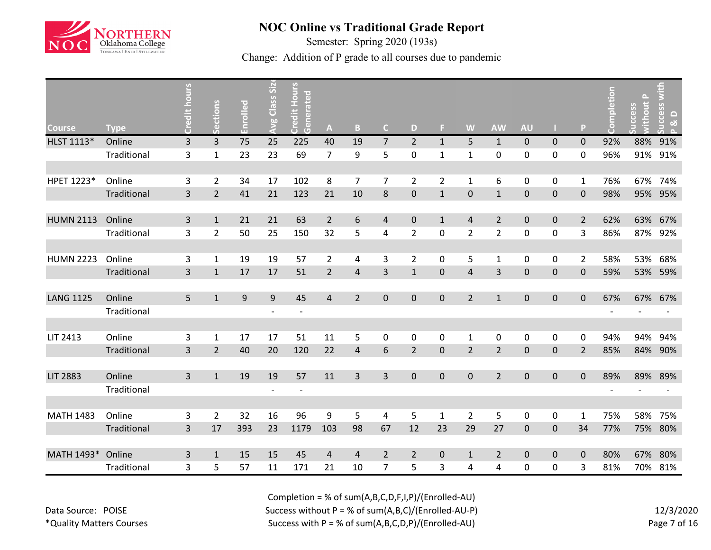

Semester: Spring 2020 (193s)

Change: Addition of P grade to all courses due to pandemic

|                  |             | Credit hours   | Sections       | Enrolled | Class Siz | <b>Credit Hours</b><br>Generated |                |                |                |                |                |                |                |                  |             |                | Completion               | $\Delta$<br>thout<br>ccess | ccess<br>$\Box$              |
|------------------|-------------|----------------|----------------|----------|-----------|----------------------------------|----------------|----------------|----------------|----------------|----------------|----------------|----------------|------------------|-------------|----------------|--------------------------|----------------------------|------------------------------|
| <b>Course</b>    | <b>Type</b> |                |                |          | Avg       |                                  | A              | B              | $\mathsf{C}$   | D              | Е              | W              | <b>AW</b>      | <b>AU</b>        |             | P              |                          |                            | <u>ನ</u><br>$\triangleright$ |
| HLST 1113*       | Online      | 3              | 3              | 75       | 25        | 225                              | 40             | 19             | $\overline{7}$ | $\overline{2}$ | $\mathbf{1}$   | 5              | $\mathbf{1}$   | $\mathbf 0$      | $\pmb{0}$   | $\mathbf 0$    | 92%                      | 88%                        | 91%                          |
|                  | Traditional | 3              | $\mathbf{1}$   | 23       | 23        | 69                               | $\overline{7}$ | 9              | 5              | 0              | $\mathbf{1}$   | $\mathbf{1}$   | 0              | $\mathbf 0$      | 0           | 0              | 96%                      | 91%                        | 91%                          |
|                  |             |                |                |          |           |                                  |                |                |                |                |                |                |                |                  |             |                |                          |                            |                              |
| HPET 1223*       | Online      | 3              | $\overline{2}$ | 34       | 17        | 102                              | 8              | 7              | 7              | $\overline{2}$ | $\overline{2}$ | $\mathbf{1}$   | 6              | $\mathbf 0$      | 0           | 1              | 76%                      |                            | 67% 74%                      |
|                  | Traditional | $\overline{3}$ | $\overline{2}$ | 41       | 21        | 123                              | 21             | 10             | $\bf 8$        | $\mathbf 0$    | $\mathbf{1}$   | $\pmb{0}$      | $\mathbf{1}$   | $\mathbf 0$      | $\pmb{0}$   | $\mathbf 0$    | 98%                      | 95%                        | 95%                          |
|                  |             |                |                |          |           |                                  |                |                |                |                |                |                |                |                  |             |                |                          |                            |                              |
| <b>HUMN 2113</b> | Online      | $\overline{3}$ | $\mathbf{1}$   | 21       | 21        | 63                               | $2^{\circ}$    | $\sqrt{6}$     | $\overline{4}$ | $\mathbf 0$    | $\mathbf{1}$   | $\overline{4}$ | $\overline{2}$ | $\pmb{0}$        | $\pmb{0}$   | $\overline{2}$ | 62%                      | 63%                        | 67%                          |
|                  | Traditional | 3              | $\overline{2}$ | 50       | 25        | 150                              | 32             | 5              | 4              | $\overline{2}$ | 0              | $\overline{2}$ | $\overline{2}$ | $\mathbf 0$      | 0           | 3              | 86%                      |                            | 87% 92%                      |
|                  |             |                |                |          |           |                                  |                |                |                |                |                |                |                |                  |             |                |                          |                            |                              |
| <b>HUMN 2223</b> | Online      | 3              | $\mathbf{1}$   | 19       | 19        | 57                               | $\overline{2}$ | 4              | 3              | $\overline{2}$ | 0              | 5              | $\mathbf{1}$   | $\mathbf 0$      | 0           | $\overline{2}$ | 58%                      | 53%                        | 68%                          |
|                  | Traditional | $\overline{3}$ | $\mathbf{1}$   | 17       | 17        | 51                               | $\overline{2}$ | $\overline{4}$ | 3              | $\mathbf{1}$   | $\mathbf 0$    | $\overline{4}$ | 3              | $\mathbf 0$      | $\mathbf 0$ | $\Omega$       | 59%                      | 53%                        | 59%                          |
|                  |             |                |                |          |           |                                  |                |                |                |                |                |                |                |                  |             |                |                          |                            |                              |
| <b>LANG 1125</b> | Online      | 5              | $\mathbf{1}$   | 9        | 9         | 45                               | $\overline{4}$ | $\overline{2}$ | $\overline{0}$ | $\mathbf 0$    | $\pmb{0}$      | $\overline{2}$ | $\mathbf{1}$   | $\pmb{0}$        | $\pmb{0}$   | $\pmb{0}$      | 67%                      | 67%                        | 67%                          |
|                  | Traditional |                |                |          |           | $\overline{\phantom{a}}$         |                |                |                |                |                |                |                |                  |             |                |                          |                            |                              |
|                  |             |                |                |          |           |                                  |                |                |                |                |                |                |                |                  |             |                |                          |                            |                              |
| LIT 2413         | Online      | 3              | $\mathbf{1}$   | 17       | 17        | 51                               | 11             | 5              | 0              | 0              | 0              | $\mathbf 1$    | $\mathbf 0$    | $\mathbf 0$      | 0           | 0              | 94%                      | 94%                        | 94%                          |
|                  | Traditional | $\overline{3}$ | $\overline{2}$ | 40       | 20        | 120                              | 22             | $\overline{4}$ | 6              | $\overline{2}$ | $\pmb{0}$      | $\mathbf 2$    | $\overline{2}$ | $\pmb{0}$        | $\pmb{0}$   | $\overline{2}$ | 85%                      | 84%                        | 90%                          |
| <b>LIT 2883</b>  | Online      | $\mathbf{3}$   | $\mathbf{1}$   | 19       | 19        | 57                               | 11             | $\overline{3}$ | $\overline{3}$ | $\mathbf 0$    | $\pmb{0}$      | $\pmb{0}$      | $\overline{2}$ | $\mathbf 0$      | $\mathbf 0$ | $\pmb{0}$      | 89%                      | 89%                        | 89%                          |
|                  | Traditional |                |                |          |           | $\overline{\phantom{a}}$         |                |                |                |                |                |                |                |                  |             |                | $\overline{\phantom{a}}$ |                            |                              |
|                  |             |                |                |          |           |                                  |                |                |                |                |                |                |                |                  |             |                |                          |                            |                              |
| <b>MATH 1483</b> | Online      | 3              | $\overline{2}$ | 32       | 16        | 96                               | 9              | 5              | 4              | 5              | $\mathbf{1}$   | $\overline{2}$ | 5              | $\mathbf 0$      | 0           | 1              | 75%                      | 58%                        | 75%                          |
|                  | Traditional | $\overline{3}$ | 17             | 393      | 23        | 1179                             | 103            | 98             | 67             | 12             | 23             | 29             | 27             | $\pmb{0}$        | $\pmb{0}$   | 34             | 77%                      |                            | 75% 80%                      |
|                  |             |                |                |          |           |                                  |                |                |                |                |                |                |                |                  |             |                |                          |                            |                              |
| MATH 1493*       | Online      | 3              | $\mathbf{1}$   | 15       | 15        | 45                               | 4              | $\overline{4}$ | $\overline{2}$ | 2              | $\mathbf 0$    | $\mathbf{1}$   | $\overline{2}$ | $\mathbf 0$      | $\mathbf 0$ | $\Omega$       | 80%                      | 67%                        | 80%                          |
|                  | Traditional | 3              | 5              | 57       | 11        | 171                              | 21             | 10             | $\overline{7}$ | 5              | 3              | 4              | 4              | $\boldsymbol{0}$ | 0           | 3              | 81%                      | 70%                        | 81%                          |

Data Source: POISE \*Quality Matters Courses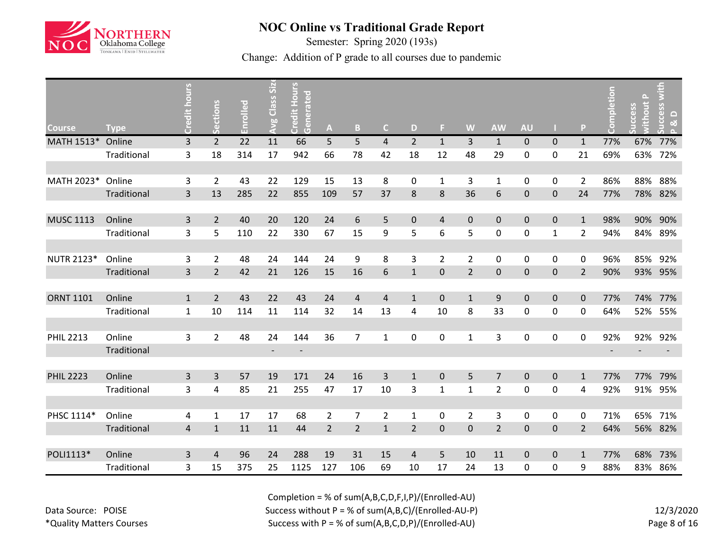

Semester: Spring 2020 (193s)

Change: Addition of P grade to all courses due to pandemic

|                   |             |                |                |          | Class Siz                |                           |                |                |                |                |                |                |                |                  |              |                |                          |                  | with                               |
|-------------------|-------------|----------------|----------------|----------|--------------------------|---------------------------|----------------|----------------|----------------|----------------|----------------|----------------|----------------|------------------|--------------|----------------|--------------------------|------------------|------------------------------------|
| <b>Course</b>     | <b>Type</b> | Credit hours   | Sections       | Enrolled | Avg                      | Credit Hours<br>Generated | A              | B              | $\mathsf{C}$   | D              | F.             | W              | <b>AW</b>      | <b>AU</b>        |              | P              | Completion               | thout P<br>ccess | <b>CCeSS</b><br>$\Box$<br><u>ನ</u> |
| MATH 1513*        | Online      | 3              | $\overline{2}$ | 22       | 11                       | 66                        | 5              | 5              | $\overline{4}$ | $\overline{2}$ | $\mathbf{1}$   | $\overline{3}$ | $\mathbf{1}$   | $\pmb{0}$        | $\pmb{0}$    | $\mathbf{1}$   | 77%                      | 67%              | 77%                                |
|                   | Traditional | 3              | 18             | 314      | 17                       | 942                       | 66             | 78             | 42             | 18             | 12             | 48             | 29             | $\boldsymbol{0}$ | 0            | 21             | 69%                      | 63%              | 72%                                |
|                   |             |                |                |          |                          |                           |                |                |                |                |                |                |                |                  |              |                |                          |                  |                                    |
| MATH 2023*        | Online      | 3              | $\overline{2}$ | 43       | 22                       | 129                       | 15             | 13             | 8              | 0              | 1              | 3              | 1              | 0                | 0            | 2              | 86%                      | 88%              | 88%                                |
|                   | Traditional | $\overline{3}$ | 13             | 285      | 22                       | 855                       | 109            | 57             | 37             | 8              | 8              | 36             | 6              | $\mathbf 0$      | $\pmb{0}$    | 24             | 77%                      | 78%              | 82%                                |
|                   |             |                |                |          |                          |                           |                |                |                |                |                |                |                |                  |              |                |                          |                  |                                    |
| <b>MUSC 1113</b>  | Online      | $\overline{3}$ | $\overline{2}$ | 40       | 20                       | 120                       | 24             | $\sqrt{6}$     | 5              | $\mathbf 0$    | $\overline{4}$ | $\pmb{0}$      | $\mathbf{0}$   | $\pmb{0}$        | $\pmb{0}$    | $\mathbf{1}$   | 98%                      | 90%              | 90%                                |
|                   | Traditional | 3              | 5              | 110      | 22                       | 330                       | 67             | 15             | 9              | 5              | 6              | 5              | $\mathbf 0$    | $\boldsymbol{0}$ | $\mathbf{1}$ | $\overline{2}$ | 94%                      | 84%              | 89%                                |
|                   |             |                |                |          |                          |                           |                |                |                |                |                |                |                |                  |              |                |                          |                  |                                    |
| <b>NUTR 2123*</b> | Online      | 3              | $\overline{2}$ | 48       | 24                       | 144                       | 24             | 9              | 8              | 3              | $\overline{2}$ | $\overline{2}$ | $\mathbf 0$    | 0                | 0            | 0              | 96%                      | 85%              | 92%                                |
|                   | Traditional | $\overline{3}$ | $\overline{2}$ | 42       | 21                       | 126                       | 15             | 16             | 6              | $\mathbf{1}$   | $\mathbf 0$    | $\overline{2}$ | $\mathbf{0}$   | $\mathbf 0$      | $\pmb{0}$    | $\overline{2}$ | 90%                      | 93%              | 95%                                |
|                   |             |                |                |          |                          |                           |                |                |                |                |                |                |                |                  |              |                |                          |                  |                                    |
| <b>ORNT 1101</b>  | Online      | $\mathbf{1}$   | $\overline{2}$ | 43       | 22                       | 43                        | 24             | $\overline{4}$ | 4              | $\mathbf{1}$   | $\mathbf 0$    | $\mathbf{1}$   | 9              | $\pmb{0}$        | $\pmb{0}$    | $\mathbf 0$    | 77%                      | 74%              | 77%                                |
|                   | Traditional | $\mathbf{1}$   | 10             | 114      | 11                       | 114                       | 32             | 14             | 13             | 4              | 10             | 8              | 33             | $\mathbf 0$      | 0            | 0              | 64%                      | 52%              | 55%                                |
|                   |             |                |                |          |                          |                           |                |                |                |                |                |                |                |                  |              |                |                          |                  |                                    |
| <b>PHIL 2213</b>  | Online      | 3              | $\overline{2}$ | 48       | 24                       | 144                       | 36             | $\overline{7}$ | $\mathbf{1}$   | 0              | $\pmb{0}$      | $\mathbf{1}$   | 3              | $\boldsymbol{0}$ | $\pmb{0}$    | 0              | 92%                      | 92%              | 92%                                |
|                   | Traditional |                |                |          | $\overline{\phantom{a}}$ | $\overline{\phantom{a}}$  |                |                |                |                |                |                |                |                  |              |                | $\overline{\phantom{a}}$ |                  |                                    |
|                   |             |                |                |          |                          |                           |                |                |                |                |                |                |                |                  |              |                |                          |                  |                                    |
| <b>PHIL 2223</b>  | Online      | 3              | 3              | 57       | 19                       | 171                       | 24             | 16             | 3              | $\mathbf{1}$   | $\pmb{0}$      | 5              | $\overline{7}$ | $\pmb{0}$        | $\pmb{0}$    | $\mathbf{1}$   | 77%                      | 77%              | 79%                                |
|                   | Traditional | 3              | $\pmb{4}$      | 85       | 21                       | 255                       | 47             | 17             | $10\,$         | 3              | $\mathbf{1}$   | $\mathbf{1}$   | $\overline{2}$ | $\boldsymbol{0}$ | 0            | 4              | 92%                      | 91%              | 95%                                |
|                   |             |                |                |          |                          |                           |                |                |                |                |                |                |                |                  |              |                |                          |                  |                                    |
| PHSC 1114*        | Online      | 4              | $\mathbf{1}$   | 17       | 17                       | 68                        | $\overline{2}$ | $\overline{7}$ | $\overline{2}$ | $\mathbf{1}$   | 0              | $\overline{2}$ | 3              | 0                | 0            | 0              | 71%                      | 65%              | 71%                                |
|                   | Traditional | $\overline{4}$ | $\mathbf{1}$   | 11       | 11                       | 44                        | $\overline{2}$ | $\overline{2}$ | $\mathbf{1}$   | $\overline{2}$ | $\pmb{0}$      | $\pmb{0}$      | $\overline{2}$ | $\mathbf 0$      | $\pmb{0}$    | $\overline{2}$ | 64%                      |                  | 56% 82%                            |
|                   |             |                |                |          |                          |                           |                |                |                |                |                |                |                |                  |              |                |                          |                  |                                    |
| POLI1113*         | Online      | 3              | $\overline{4}$ | 96       | 24                       | 288                       | 19             | 31             | 15             | 4              | 5              | 10             | 11             | $\mathbf 0$      | $\pmb{0}$    | $\mathbf{1}$   | 77%                      | 68%              | 73%                                |
|                   | Traditional | 3              | 15             | 375      | 25                       | 1125                      | 127            | 106            | 69             | 10             | 17             | 24             | 13             | 0                | 0            | 9              | 88%                      | 83%              | 86%                                |

Data Source: POISE \*Quality Matters Courses